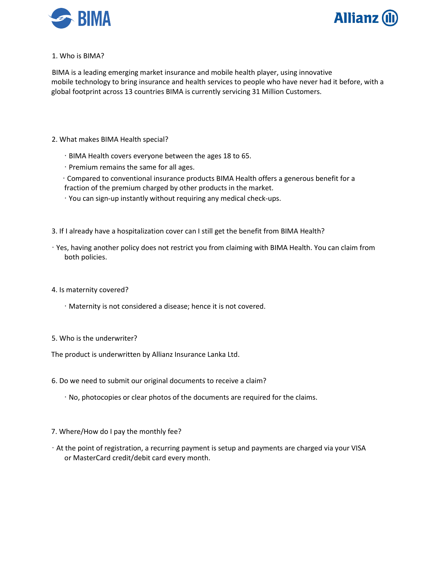



1. Who is BIMA?

BIMA is a leading emerging market insurance and mobile health player, using innovative mobile technology to bring insurance and health services to people who have never had it before, with a global footprint across 13 countries BIMA is currently servicing 31 Million Customers.

- 2. What makes BIMA Health special?
	- ∙ BIMA Health covers everyone between the ages 18 to 65.
	- ∙ Premium remains the same for all ages.
	- ∙ Compared to conventional insurance products BIMA Health offers a generous benefit for a fraction of the premium charged by other products in the market.
	- ∙ You can sign-up instantly without requiring any medical check-ups.
- 3. If I already have a hospitalization cover can I still get the benefit from BIMA Health?
- ∙ Yes, having another policy does not restrict you from claiming with BIMA Health. You can claim from both policies.
- 4. Is maternity covered?
	- ∙ Maternity is not considered a disease; hence it is not covered.
- 5. Who is the underwriter?

The product is underwritten by Allianz Insurance Lanka Ltd.

- 6. Do we need to submit our original documents to receive a claim?
	- ∙ No, photocopies or clear photos of the documents are required for the claims.
- 7. Where/How do I pay the monthly fee?
- ∙ At the point of registration, a recurring payment is setup and payments are charged via your VISA or MasterCard credit/debit card every month.